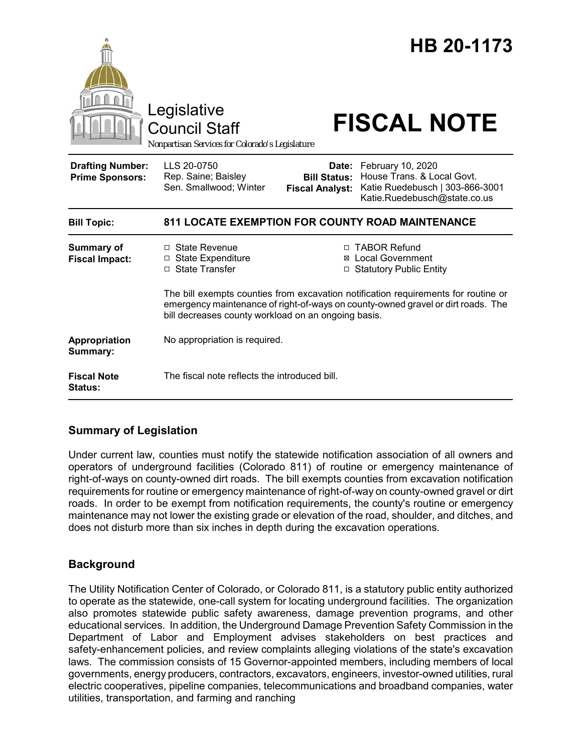

# **Summary of Legislation**

Under current law, counties must notify the statewide notification association of all owners and operators of underground facilities (Colorado 811) of routine or emergency maintenance of right-of-ways on county-owned dirt roads. The bill exempts counties from excavation notification requirements for routine or emergency maintenance of right-of-way on county-owned gravel or dirt roads. In order to be exempt from notification requirements, the county's routine or emergency maintenance may not lower the existing grade or elevation of the road, shoulder, and ditches, and does not disturb more than six inches in depth during the excavation operations.

# **Background**

The Utility Notification Center of Colorado, or Colorado 811, is a statutory public entity authorized to operate as the statewide, one-call system for locating underground facilities. The organization also promotes statewide public safety awareness, damage prevention programs, and other educational services. In addition, the Underground Damage Prevention Safety Commission in the Department of Labor and Employment advises stakeholders on best practices and safety-enhancement policies, and review complaints alleging violations of the state's excavation laws. The commission consists of 15 Governor-appointed members, including members of local governments, energy producers, contractors, excavators, engineers, investor-owned utilities, rural electric cooperatives, pipeline companies, telecommunications and broadband companies, water utilities, transportation, and farming and ranching